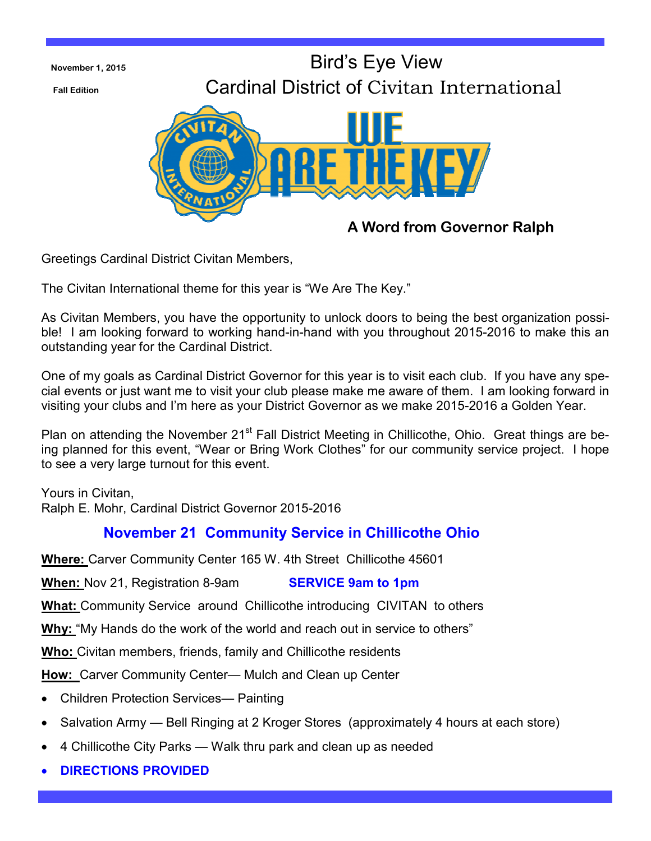

Greetings Cardinal District Civitan Members,

The Civitan International theme for this year is "We Are The Key."

As Civitan Members, you have the opportunity to unlock doors to being the best organization possible! I am looking forward to working hand-in-hand with you throughout 2015-2016 to make this an outstanding year for the Cardinal District.

One of my goals as Cardinal District Governor for this year is to visit each club. If you have any special events or just want me to visit your club please make me aware of them. I am looking forward in visiting your clubs and I'm here as your District Governor as we make 2015-2016 a Golden Year.

Plan on attending the November 21<sup>st</sup> Fall District Meeting in Chillicothe, Ohio. Great things are being planned for this event, "Wear or Bring Work Clothes" for our community service project. I hope to see a very large turnout for this event.

Yours in Civitan, Ralph E. Mohr, Cardinal District Governor 2015-2016

## **November 21 Community Service in Chillicothe Ohio**

**Where:** Carver Community Center 165 W. 4th Street Chillicothe 45601

**When:** Nov 21, Registration 8-9am **SERVICE 9am to 1pm** 

**What:** Community Service around Chillicothe introducing CIVITAN to others

**Why:** "My Hands do the work of the world and reach out in service to others"

**Who:** Civitan members, friends, family and Chillicothe residents

**How:** Carver Community Center— Mulch and Clean up Center

- Children Protection Services— Painting
- Salvation Army Bell Ringing at 2 Kroger Stores (approximately 4 hours at each store)
- 4 Chillicothe City Parks Walk thru park and clean up as needed
- **DIRECTIONS PROVIDED**